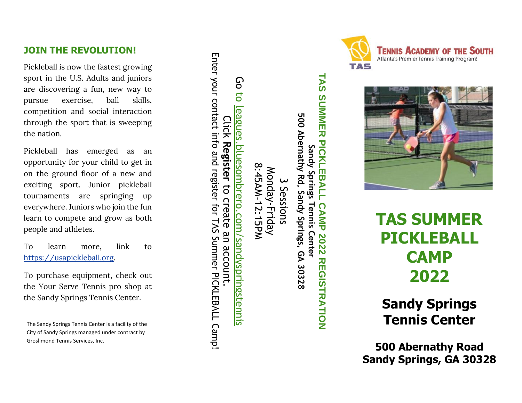# **JOIN THE REVOLUTION!**

Pickleball is now the fastest growing sport in the U.S. Adult s and juniors are discovering a fun, new way to pursue exercise, ball skills, competition an d social interaction through the sport that is sweeping the nation.

Pickleball has emerged as an opportunity for your child to get in on the ground floor of a new and exciting sport. Junior pickleball tournaments are springing up everywhere. Juniors who join the fun learn to compete and grow as both people and athlete s .

To learn more, link to https://usapickleball.org.

To purchase equipment, check out the Your Serve Tennis pro shop at the Sa ndy Springs Tennis Center.

The Sandy Springs Tennis Center is a facility of the City of Sandy Springs managed under contract by Groslimond Tennis Services, Inc.

Enter your contact info and register for TAS Summer PICKLEBALL Campl Enter your contact info and register for TAS Summer PICKLEBALL Camp! Go to Go to leagues.bluesombrero.com/sandyspringstennis leagues. Click **Register** bluesombrero.com/sandyspringstennis to create an account.

8:45AM-12:15PM 8:45AM-12:15PM Monday-Friday Monday-Friday س Sessions

**TAS SUMMER PICKLEBALL CAMP 2022 REGISTRATION SUMMER PICKLEBALL** 500 Abernathy Rd, **500 Abernathy Rd, Sandy Springs, GA 30328** Sandy Springs Tennis Cente **Sandy Springs Tennis Center** Sandy Springs, GA 30328 **CAMP 2022 REGISTRATION** 

**TAS** 





# **TAS SUMMER PICKLEBALL CAMP 20 2 2**

**Sandy Springs Tennis Center**

**500 Abernathy Road Sandy Springs, GA 30328**